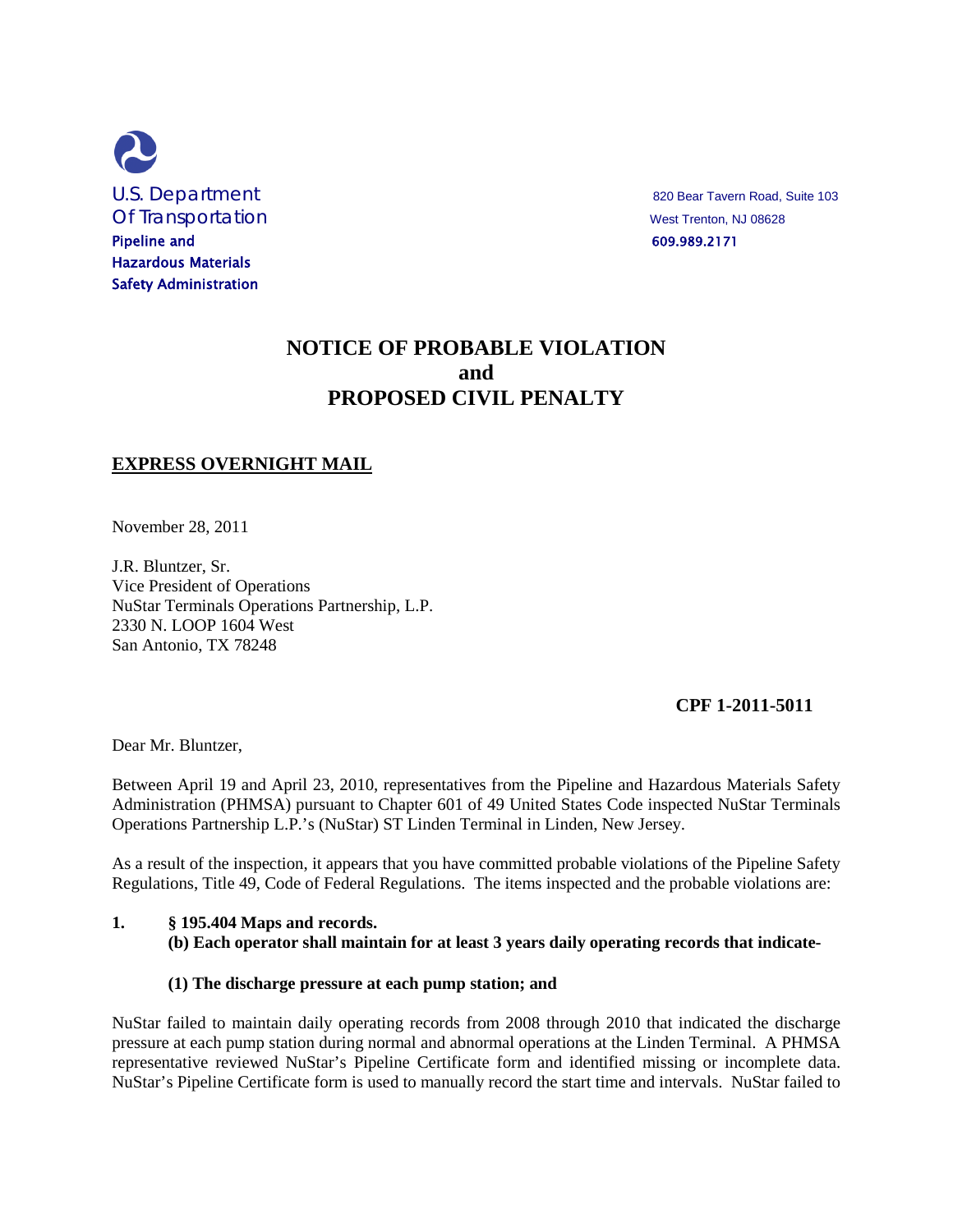

# **NOTICE OF PROBABLE VIOLATION and PROPOSED CIVIL PENALTY**

# **EXPRESS OVERNIGHT MAIL**

November 28, 2011

J.R. Bluntzer, Sr. Vice President of Operations NuStar Terminals Operations Partnership, L.P. 2330 N. LOOP 1604 West San Antonio, TX 78248

#### **CPF 1-2011-5011**

Dear Mr. Bluntzer,

Between April 19 and April 23, 2010, representatives from the Pipeline and Hazardous Materials Safety Administration (PHMSA) pursuant to Chapter 601 of 49 United States Code inspected NuStar Terminals Operations Partnership L.P.'s (NuStar) ST Linden Terminal in Linden, New Jersey.

As a result of the inspection, it appears that you have committed probable violations of the Pipeline Safety Regulations, Title 49, Code of Federal Regulations. The items inspected and the probable violations are:

#### **1. § 195.404 Maps and records.**

#### **(b) Each operator shall maintain for at least 3 years daily operating records that indicate-**

#### **(1) The discharge pressure at each pump station; and**

NuStar failed to maintain daily operating records from 2008 through 2010 that indicated the discharge pressure at each pump station during normal and abnormal operations at the Linden Terminal. A PHMSA representative reviewed NuStar's Pipeline Certificate form and identified missing or incomplete data. NuStar's Pipeline Certificate form is used to manually record the start time and intervals. NuStar failed to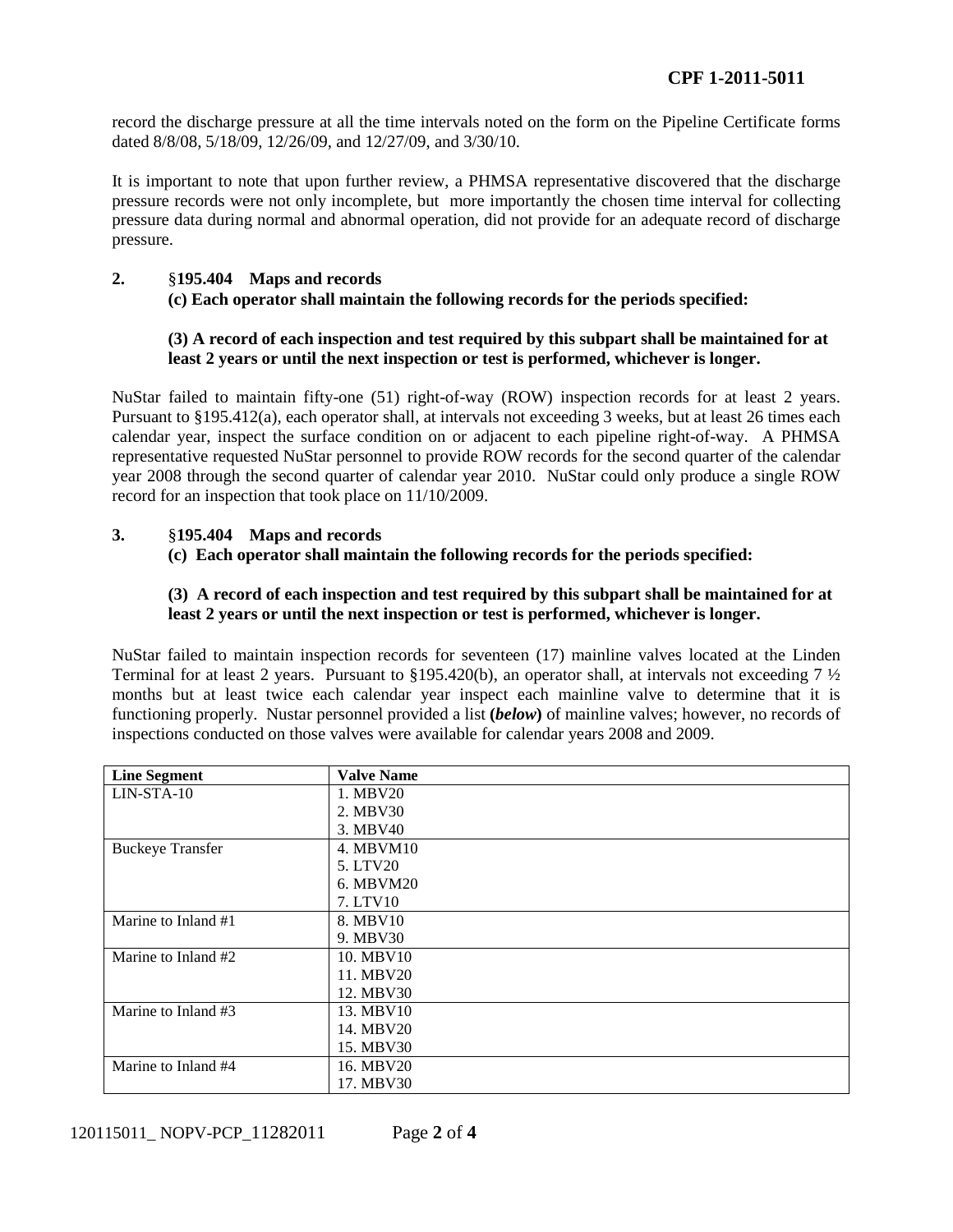record the discharge pressure at all the time intervals noted on the form on the Pipeline Certificate forms dated 8/8/08, 5/18/09, 12/26/09, and 12/27/09, and 3/30/10.

It is important to note that upon further review, a PHMSA representative discovered that the discharge pressure records were not only incomplete, but more importantly the chosen time interval for collecting pressure data during normal and abnormal operation, did not provide for an adequate record of discharge pressure.

# **2.** §**195.404 Maps and records (c) Each operator shall maintain the following records for the periods specified:**

# **(3) A record of each inspection and test required by this subpart shall be maintained for at least 2 years or until the next inspection or test is performed, whichever is longer.**

NuStar failed to maintain fifty-one (51) right-of-way (ROW) inspection records for at least 2 years. Pursuant to §195.412(a), each operator shall, at intervals not exceeding 3 weeks, but at least 26 times each calendar year, inspect the surface condition on or adjacent to each pipeline right-of-way. A PHMSA representative requested NuStar personnel to provide ROW records for the second quarter of the calendar year 2008 through the second quarter of calendar year 2010. NuStar could only produce a single ROW record for an inspection that took place on 11/10/2009.

## **3.** §**195.404 Maps and records**

## **(c) Each operator shall maintain the following records for the periods specified:**

## **(3) A record of each inspection and test required by this subpart shall be maintained for at least 2 years or until the next inspection or test is performed, whichever is longer.**

NuStar failed to maintain inspection records for seventeen (17) mainline valves located at the Linden Terminal for at least 2 years. Pursuant to §195.420(b), an operator shall, at intervals not exceeding 7 ½ months but at least twice each calendar year inspect each mainline valve to determine that it is functioning properly. Nustar personnel provided a list **(***below***)** of mainline valves; however, no records of inspections conducted on those valves were available for calendar years 2008 and 2009.

| <b>Line Segment</b>     | <b>Valve Name</b> |
|-------------------------|-------------------|
| LIN-STA-10              | 1. MBV20          |
|                         | 2. MBV30          |
|                         | 3. MBV40          |
| <b>Buckeye Transfer</b> | 4. MBVM10         |
|                         | 5. LTV20          |
|                         | 6. MBVM20         |
|                         | 7. LTV10          |
| Marine to Inland #1     | 8. MBV10          |
|                         | 9. MBV30          |
| Marine to Inland #2     | 10. MBV10         |
|                         | 11. MBV20         |
|                         | 12. MBV30         |
| Marine to Inland #3     | 13. MBV10         |
|                         | 14. MBV20         |
|                         | 15. MBV30         |
| Marine to Inland #4     | 16. MBV20         |
|                         | 17. MBV30         |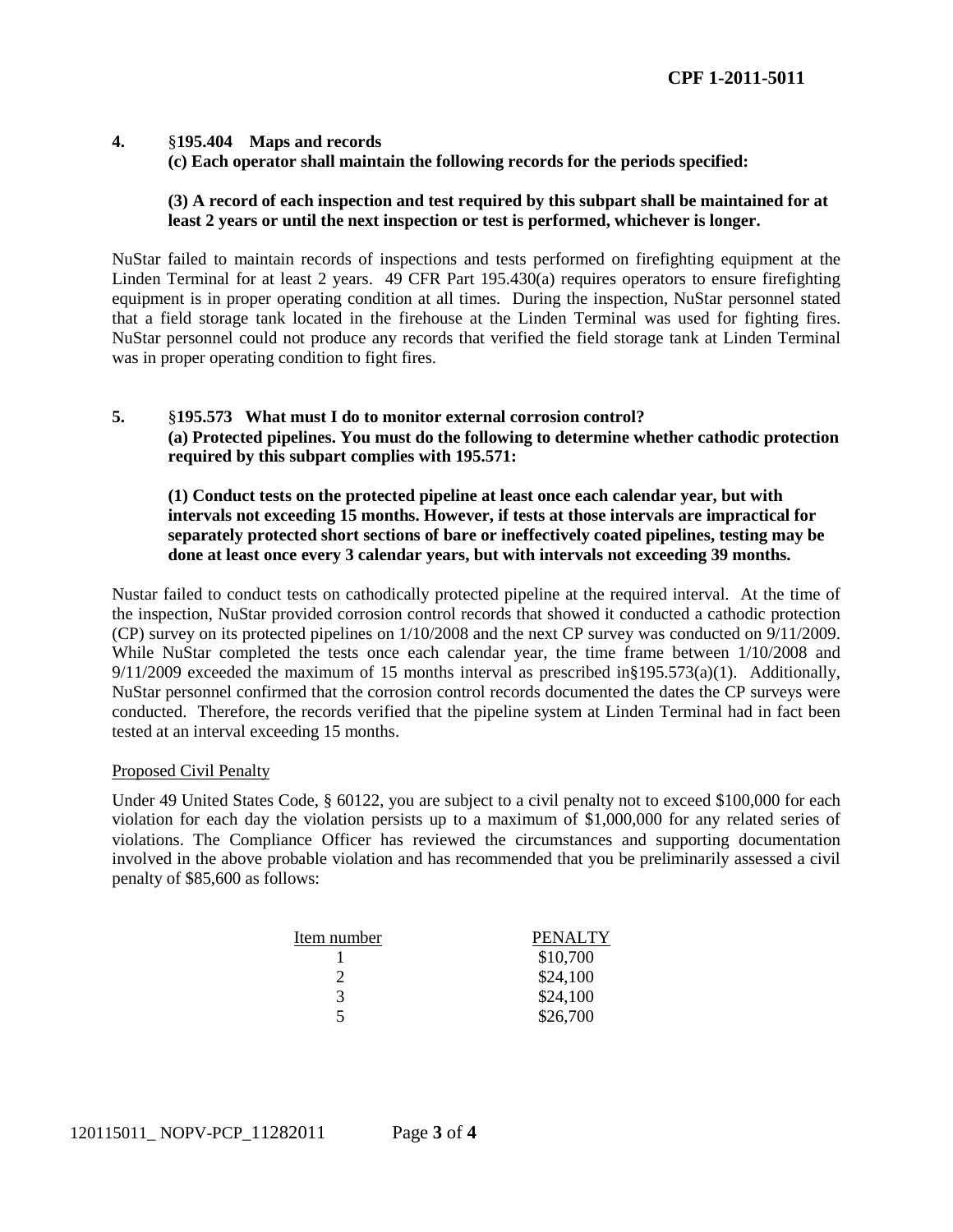# **4.** §**195.404 Maps and records (c) Each operator shall maintain the following records for the periods specified:**

#### **(3) A record of each inspection and test required by this subpart shall be maintained for at least 2 years or until the next inspection or test is performed, whichever is longer.**

NuStar failed to maintain records of inspections and tests performed on firefighting equipment at the Linden Terminal for at least 2 years. 49 CFR Part  $195.430(a)$  requires operators to ensure firefighting equipment is in proper operating condition at all times. During the inspection, NuStar personnel stated that a field storage tank located in the firehouse at the Linden Terminal was used for fighting fires. NuStar personnel could not produce any records that verified the field storage tank at Linden Terminal was in proper operating condition to fight fires.

## **5.** §**195.573 What must I do to monitor external corrosion control? (a) Protected pipelines. You must do the following to determine whether cathodic protection required by this subpart complies with 195.571:**

**(1) Conduct tests on the protected pipeline at least once each calendar year, but with intervals not exceeding 15 months. However, if tests at those intervals are impractical for separately protected short sections of bare or ineffectively coated pipelines, testing may be done at least once every 3 calendar years, but with intervals not exceeding 39 months.**

Nustar failed to conduct tests on cathodically protected pipeline at the required interval. At the time of the inspection, NuStar provided corrosion control records that showed it conducted a cathodic protection (CP) survey on its protected pipelines on 1/10/2008 and the next CP survey was conducted on 9/11/2009. While NuStar completed the tests once each calendar year, the time frame between 1/10/2008 and 9/11/2009 exceeded the maximum of 15 months interval as prescribed in§195.573(a)(1). Additionally, NuStar personnel confirmed that the corrosion control records documented the dates the CP surveys were conducted. Therefore, the records verified that the pipeline system at Linden Terminal had in fact been tested at an interval exceeding 15 months.

#### Proposed Civil Penalty

Under 49 United States Code, § 60122, you are subject to a civil penalty not to exceed \$100,000 for each violation for each day the violation persists up to a maximum of \$1,000,000 for any related series of violations. The Compliance Officer has reviewed the circumstances and supporting documentation involved in the above probable violation and has recommended that you be preliminarily assessed a civil penalty of \$85,600 as follows:

| Item number | PENALTY  |
|-------------|----------|
|             | \$10,700 |
|             | \$24,100 |
| 3           | \$24,100 |
|             | \$26,700 |